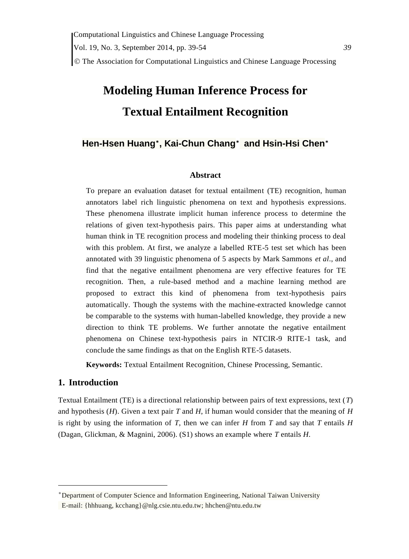# **Modeling Human Inference Process for Textual Entailment Recognition**

# **Hen-Hsen Huang**\* **, Kai-Chun Chan[g](#page-0-0)**\* **and Hsin-Hsi Che[n](#page-0-0)**\*

#### <span id="page-0-0"></span>**Abstract**

To prepare an evaluation dataset for textual entailment (TE) recognition, human annotators label rich linguistic phenomena on text and hypothesis expressions. These phenomena illustrate implicit human inference process to determine the relations of given text-hypothesis pairs. This paper aims at understanding what human think in TE recognition process and modeling their thinking process to deal with this problem. At first, we analyze a labelled RTE-5 test set which has been annotated with 39 linguistic phenomena of 5 aspects by Mark Sammons *et al*., and find that the negative entailment phenomena are very effective features for TE recognition. Then, a rule-based method and a machine learning method are proposed to extract this kind of phenomena from text-hypothesis pairs automatically. Though the systems with the machine-extracted knowledge cannot be comparable to the systems with human-labelled knowledge, they provide a new direction to think TE problems. We further annotate the negative entailment phenomena on Chinese text-hypothesis pairs in NTCIR-9 RITE-1 task, and conclude the same findings as that on the English RTE-5 datasets.

**Keywords:** Textual Entailment Recognition, Chinese Processing, Semantic.

## **1. Introduction**

 $\overline{a}$ 

Textual Entailment (TE) is a directional relationship between pairs of text expressions, text (*T*) and hypothesis (*H*). Given a text pair *T* and *H*, if human would consider that the meaning of *H* is right by using the information of *T*, then we can infer *H* from *T* and say that *T* entails *H* (Dagan, Glickman, & Magnini, 2006). (S1) shows an example where *T* entails *H*.

<sup>\*</sup>Department of Computer Science and Information Engineering, National Taiwan University E-mail: {hhhuang, kcchang}@nlg.csie.ntu.edu.tw; hhchen@ntu.edu.tw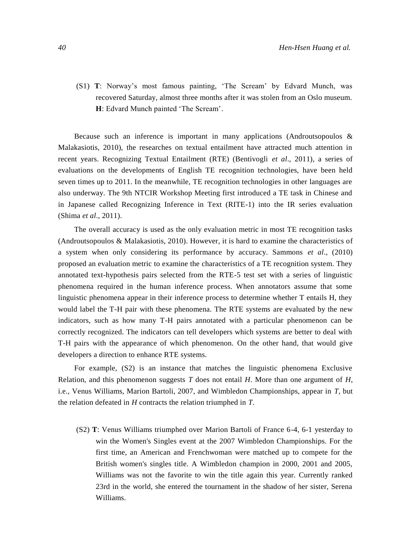(S1) **T**: Norway"s most famous painting, "The Scream" by Edvard Munch, was recovered Saturday, almost three months after it was stolen from an Oslo museum. **H**: Edvard Munch painted 'The Scream'.

Because such an inference is important in many applications (Androutsopoulos & Malakasiotis, 2010), the researches on textual entailment have attracted much attention in recent years. Recognizing Textual Entailment (RTE) (Bentivogli *et al*., 2011), a series of evaluations on the developments of English TE recognition technologies, have been held seven times up to 2011. In the meanwhile, TE recognition technologies in other languages are also underway. The 9th NTCIR Workshop Meeting first introduced a TE task in Chinese and in Japanese called Recognizing Inference in Text (RITE-1) into the IR series evaluation (Shima *et al*., 2011).

The overall accuracy is used as the only evaluation metric in most TE recognition tasks (Androutsopoulos & Malakasiotis, 2010). However, it is hard to examine the characteristics of a system when only considering its performance by accuracy. Sammons *et al*., (2010) proposed an evaluation metric to examine the characteristics of a TE recognition system. They annotated text-hypothesis pairs selected from the RTE-5 test set with a series of linguistic phenomena required in the human inference process. When annotators assume that some linguistic phenomena appear in their inference process to determine whether T entails H, they would label the T-H pair with these phenomena. The RTE systems are evaluated by the new indicators, such as how many T-H pairs annotated with a particular phenomenon can be correctly recognized. The indicators can tell developers which systems are better to deal with T-H pairs with the appearance of which phenomenon. On the other hand, that would give developers a direction to enhance RTE systems.

For example, (S2) is an instance that matches the linguistic phenomena Exclusive Relation, and this phenomenon suggests *T* does not entail *H*. More than one argument of *H*, i.e., Venus Williams, Marion Bartoli, 2007, and Wimbledon Championships, appear in *T*, but the relation defeated in *H* contracts the relation triumphed in *T*.

(S2) **T**: Venus Williams triumphed over Marion Bartoli of France 6-4, 6-1 yesterday to win the Women's Singles event at the 2007 Wimbledon Championships. For the first time, an American and Frenchwoman were matched up to compete for the British women's singles title. A Wimbledon champion in 2000, 2001 and 2005, Williams was not the favorite to win the title again this year. Currently ranked 23rd in the world, she entered the tournament in the shadow of her sister, Serena Williams.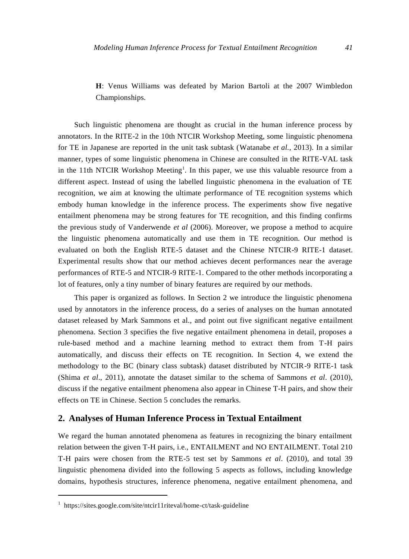**H**: Venus Williams was defeated by Marion Bartoli at the 2007 Wimbledon Championships.

Such linguistic phenomena are thought as crucial in the human inference process by annotators. In the RITE-2 in the 10th NTCIR Workshop Meeting, some linguistic phenomena for TE in Japanese are reported in the unit task subtask (Watanabe *et al.*, 2013). In a similar manner, types of some linguistic phenomena in Chinese are consulted in the RITE-VAL task in the 11th NTCIR Workshop Meeting<sup>1</sup>. In this paper, we use this valuable resource from a different aspect. Instead of using the labelled linguistic phenomena in the evaluation of TE recognition, we aim at knowing the ultimate performance of TE recognition systems which embody human knowledge in the inference process. The experiments show five negative entailment phenomena may be strong features for TE recognition, and this finding confirms the previous study of Vanderwende *et al* (2006). Moreover, we propose a method to acquire the linguistic phenomena automatically and use them in TE recognition. Our method is evaluated on both the English RTE-5 dataset and the Chinese NTCIR-9 RITE-1 dataset. Experimental results show that our method achieves decent performances near the average performances of RTE-5 and NTCIR-9 RITE-1. Compared to the other methods incorporating a lot of features, only a tiny number of binary features are required by our methods.

This paper is organized as follows. In Section 2 we introduce the linguistic phenomena used by annotators in the inference process, do a series of analyses on the human annotated dataset released by Mark Sammons et al., and point out five significant negative entailment phenomena. Section 3 specifies the five negative entailment phenomena in detail, proposes a rule-based method and a machine learning method to extract them from T-H pairs automatically, and discuss their effects on TE recognition. In Section 4, we extend the methodology to the BC (binary class subtask) dataset distributed by NTCIR-9 RITE-1 task (Shima *et al*., 2011), annotate the dataset similar to the schema of Sammons *et al*. (2010), discuss if the negative entailment phenomena also appear in Chinese T-H pairs, and show their effects on TE in Chinese. Section 5 concludes the remarks.

### **2. Analyses of Human Inference Process in Textual Entailment**

We regard the human annotated phenomena as features in recognizing the binary entailment relation between the given T-H pairs, i.e., ENTAILMENT and NO ENTAILMENT. Total 210 T-H pairs were chosen from the RTE-5 test set by Sammons *et al*. (2010), and total 39 linguistic phenomena divided into the following 5 aspects as follows, including knowledge domains, hypothesis structures, inference phenomena, negative entailment phenomena, and

 $\overline{a}$ 

<sup>&</sup>lt;sup>1</sup> https://sites.google.com/site/ntcir11riteval/home-ct/task-guideline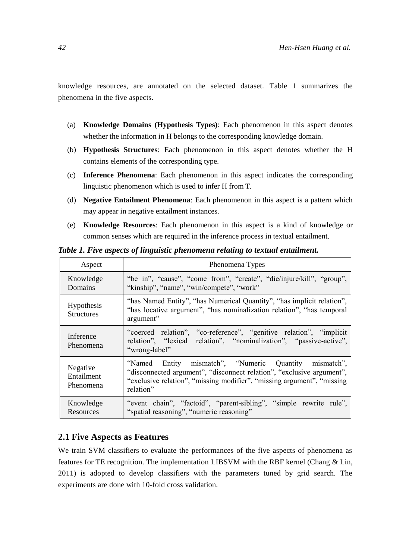knowledge resources, are annotated on the selected dataset. Table 1 summarizes the phenomena in the five aspects.

- (a) **Knowledge Domains (Hypothesis Types)**: Each phenomenon in this aspect denotes whether the information in H belongs to the corresponding knowledge domain.
- (b) **Hypothesis Structures**: Each phenomenon in this aspect denotes whether the H contains elements of the corresponding type.
- (c) **Inference Phenomena**: Each phenomenon in this aspect indicates the corresponding linguistic phenomenon which is used to infer H from T.
- (d) **Negative Entailment Phenomena**: Each phenomenon in this aspect is a pattern which may appear in negative entailment instances.
- (e) **Knowledge Resources**: Each phenomenon in this aspect is a kind of knowledge or common senses which are required in the inference process in textual entailment.

| Aspect                                 | Phenomena Types                                                                                                                                                                                                       |  |  |  |  |  |
|----------------------------------------|-----------------------------------------------------------------------------------------------------------------------------------------------------------------------------------------------------------------------|--|--|--|--|--|
| Knowledge<br><b>Domains</b>            | "be in", "cause", "come from", "create", "die/injure/kill", "group",<br>"kinship", "name", "win/compete", "work"                                                                                                      |  |  |  |  |  |
| <b>Hypothesis</b><br><b>Structures</b> | "has Named Entity", "has Numerical Quantity", "has implicit relation",<br>"has locative argument", "has nominalization relation", "has temporal<br>argument"                                                          |  |  |  |  |  |
| Inference<br>Phenomena                 | "coerced relation", "co-reference", "genitive relation", "implicit"<br>relation", "lexical relation", "nominalization", "passive-active",<br>"wrong-label"                                                            |  |  |  |  |  |
| Negative<br>Entailment<br>Phenomena    | "Named Entity mismatch", "Numeric Quantity mismatch",<br>"disconnected argument", "disconnect relation", "exclusive argument",<br>"exclusive relation", "missing modifier", "missing argument", "missing<br>relation" |  |  |  |  |  |
| Knowledge<br>Resources                 | "event chain", "factoid", "parent-sibling", "simple rewrite rule",<br>"spatial reasoning", "numeric reasoning"                                                                                                        |  |  |  |  |  |

*Table 1. Five aspects of linguistic phenomena relating to textual entailment.*

# **2.1 Five Aspects as Features**

We train SVM classifiers to evaluate the performances of the five aspects of phenomena as features for TE recognition. The implementation LIBSVM with the RBF kernel (Chang & Lin, 2011) is adopted to develop classifiers with the parameters tuned by grid search. The experiments are done with 10-fold cross validation.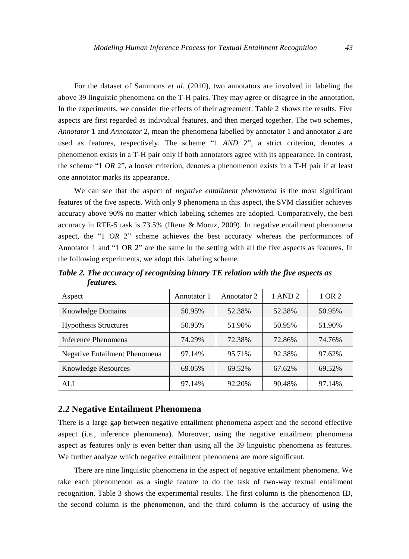For the dataset of Sammons *et al.* (2010), two annotators are involved in labeling the above 39 linguistic phenomena on the T-H pairs. They may agree or disagree in the annotation. In the experiments, we consider the effects of their agreement. Table 2 shows the results. Five aspects are first regarded as individual features, and then merged together. The two schemes, *Annotator* 1 and *Annotator* 2, mean the phenomena labelled by annotator 1 and annotator 2 are used as features, respectively. The scheme "1 *AND* 2", a strict criterion, denotes a phenomenon exists in a T-H pair only if both annotators agree with its appearance. In contrast, the scheme "1 *OR* 2", a looser criterion, denotes a phenomenon exists in a T-H pair if at least one annotator marks its appearance.

We can see that the aspect of *negative entailment phenomena* is the most significant features of the five aspects. With only 9 phenomena in this aspect, the SVM classifier achieves accuracy above 90% no matter which labeling schemes are adopted. Comparatively, the best accuracy in RTE-5 task is 73.5% (Iftene & Moruz, 2009). In negative entailment phenomena aspect, the "1 *OR* 2" scheme achieves the best accuracy whereas the performances of Annotator 1 and "1 OR 2" are the same in the setting with all the five aspects as features. In the following experiments, we adopt this labeling scheme.

*Table 2. The accuracy of recognizing binary TE relation with the five aspects as features.*

| Aspect                        | Annotator 1 | Annotator 2 | 1 AND 2 | 1 OR 2 |
|-------------------------------|-------------|-------------|---------|--------|
| <b>Knowledge Domains</b>      | 50.95%      | 52.38%      | 52.38%  | 50.95% |
| <b>Hypothesis Structures</b>  | 50.95%      | 51.90%      | 50.95%  | 51.90% |
| Inference Phenomena           | 74.29%      | 72.38%      | 72.86%  | 74.76% |
| Negative Entailment Phenomena | 97.14%      | 95.71%      | 92.38%  | 97.62% |
| <b>Knowledge Resources</b>    | 69.05%      | 69.52%      | 67.62%  | 69.52% |
| ALL                           | 97.14%      | 92.20%      | 90.48%  | 97.14% |

#### **2.2 Negative Entailment Phenomena**

There is a large gap between negative entailment phenomena aspect and the second effective aspect (i.e., inference phenomena). Moreover, using the negative entailment phenomena aspect as features only is even better than using all the 39 linguistic phenomena as features. We further analyze which negative entailment phenomena are more significant.

There are nine linguistic phenomena in the aspect of negative entailment phenomena. We take each phenomenon as a single feature to do the task of two-way textual entailment recognition. Table 3 shows the experimental results. The first column is the phenomenon ID, the second column is the phenomenon, and the third column is the accuracy of using the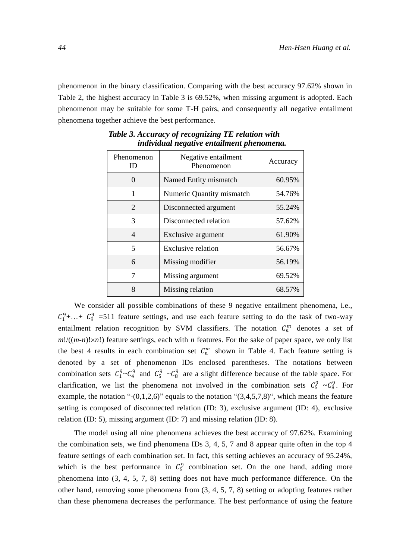phenomenon in the binary classification. Comparing with the best accuracy 97.62% shown in Table 2, the highest accuracy in Table 3 is 69.52%, when missing argument is adopted. Each phenomenon may be suitable for some T-H pairs, and consequently all negative entailment phenomena together achieve the best performance.

| Phenomenon<br>ID            | Negative entailment<br>Phenomenon | Accuracy |
|-----------------------------|-----------------------------------|----------|
| $\mathbf{\Omega}$           | Named Entity mismatch             | 60.95%   |
|                             | Numeric Quantity mismatch         | 54.76%   |
| $\mathcal{D}_{\mathcal{L}}$ | Disconnected argument             | 55.24%   |
| 3                           | Disconnected relation             | 57.62%   |
| 4                           | Exclusive argument                | 61.90%   |
| 5                           | Exclusive relation                | 56.67%   |
| 6                           | Missing modifier                  | 56.19%   |
|                             | Missing argument                  | 69.52%   |
| 8                           | Missing relation                  | 68.57%   |

*Table 3. Accuracy of recognizing TE relation with individual negative entailment phenomena.*

We consider all possible combinations of these 9 negative entailment phenomena, i.e.,  $C_1^9$ +...+  $C_9^9$  =511 feature settings, and use each feature setting to do the task of two-way entailment relation recognition by SVM classifiers. The notation  $C_n^m$  denotes a set of  $m!/((m-n)! \times n!)$  feature settings, each with *n* features. For the sake of paper space, we only list the best 4 results in each combination set  $C_n^m$  shown in Table 4. Each feature setting is denoted by a set of phenomenon IDs enclosed parentheses. The notations between combination sets  $C_1^9 \sim C_4^9$  and  $C_5^9 \sim C_8^9$  are a slight difference because of the table space. For clarification, we list the phenomena not involved in the combination sets  $C_5^9 \sim C_8^9$ . For example, the notation "- $(0,1,2,6)$ " equals to the notation " $(3,4,5,7,8)$ ", which means the feature setting is composed of disconnected relation (ID: 3), exclusive argument (ID: 4), exclusive relation (ID: 5), missing argument (ID: 7) and missing relation (ID: 8).

The model using all nine phenomena achieves the best accuracy of 97.62%. Examining the combination sets, we find phenomena IDs 3, 4, 5, 7 and 8 appear quite often in the top 4 feature settings of each combination set. In fact, this setting achieves an accuracy of 95.24%, which is the best performance in  $C_5^9$  combination set. On the one hand, adding more phenomena into (3, 4, 5, 7, 8) setting does not have much performance difference. On the other hand, removing some phenomena from (3, 4, 5, 7, 8) setting or adopting features rather than these phenomena decreases the performance. The best performance of using the feature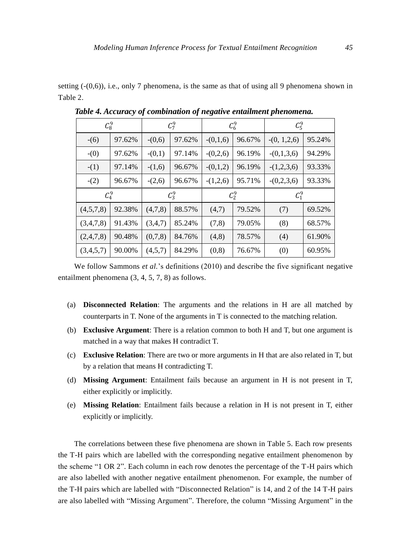setting  $(-(0,6))$ , i.e., only 7 phenomena, is the same as that of using all 9 phenomena shown in Table 2.

|           | $\mathcal{C}_8^9$ |          | $C_7^9$ |            | $C_6^9$ | $C_5^9$         |         |
|-----------|-------------------|----------|---------|------------|---------|-----------------|---------|
| $-(6)$    | 97.62%            | $-(0,6)$ | 97.62%  | $-(0,1,6)$ | 96.67%  | $-(0, 1, 2, 6)$ | 95.24%  |
| $-(0)$    | 97.62%            | $-(0,1)$ | 97.14%  | $-(0,2,6)$ | 96.19%  | $-(0,1,3,6)$    | 94.29%  |
| $-(1)$    | 97.14%            | $-(1,6)$ | 96.67%  | $-(0,1,2)$ | 96.19%  | $-(1,2,3,6)$    | 93.33%  |
| $-(2)$    | 96.67%            | $-(2,6)$ | 96.67%  | $-(1,2,6)$ | 95.71%  | $-(0,2,3,6)$    | 93.33%  |
| $C_4^9$   |                   |          | $C_3^9$ |            | $C_2^9$ |                 | $C_1^9$ |
| (4,5,7,8) |                   |          |         |            |         |                 |         |
|           | 92.38%            | (4,7,8)  | 88.57%  | (4,7)      | 79.52%  | (7)             | 69.52%  |
| (3,4,7,8) | 91.43%            | (3,4,7)  | 85.24%  | (7, 8)     | 79.05%  | (8)             | 68.57%  |
| (2,4,7,8) | 90.48%            | (0,7,8)  | 84.76%  | (4,8)      | 78.57%  | (4)             | 61.90%  |

*Table 4. Accuracy of combination of negative entailment phenomena.*

We follow Sammons *et al.*'s definitions (2010) and describe the five significant negative entailment phenomena (3, 4, 5, 7, 8) as follows.

- (a) **Disconnected Relation**: The arguments and the relations in H are all matched by counterparts in T. None of the arguments in T is connected to the matching relation.
- (b) **Exclusive Argument**: There is a relation common to both H and T, but one argument is matched in a way that makes H contradict T.
- (c) **Exclusive Relation**: There are two or more arguments in H that are also related in T, but by a relation that means H contradicting T.
- (d) **Missing Argument**: Entailment fails because an argument in H is not present in T, either explicitly or implicitly.
- (e) **Missing Relation**: Entailment fails because a relation in H is not present in T, either explicitly or implicitly.

The correlations between these five phenomena are shown in Table 5. Each row presents the T-H pairs which are labelled with the corresponding negative entailment phenomenon by the scheme "1 OR 2". Each column in each row denotes the percentage of the T-H pairs which are also labelled with another negative entailment phenomenon. For example, the number of the T-H pairs which are labelled with "Disconnected Relation" is 14, and 2 of the 14 T-H pairs are also labelled with "Missing Argument". Therefore, the column "Missing Argument" in the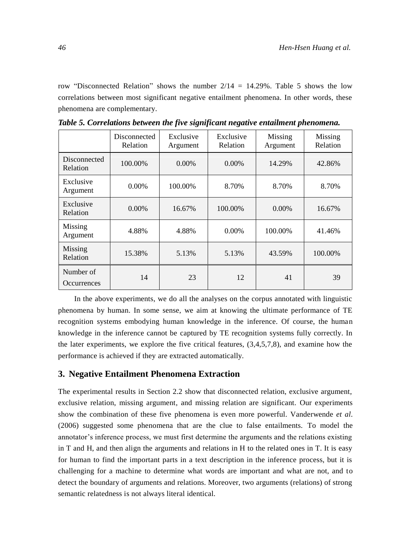row "Disconnected Relation" shows the number  $2/14 = 14.29\%$ . Table 5 shows the low correlations between most significant negative entailment phenomena. In other words, these phenomena are complementary.

|                          | Disconnected<br>Relation | Exclusive<br>Argument | Exclusive<br>Relation | Missing<br>Argument | Missing<br>Relation |
|--------------------------|--------------------------|-----------------------|-----------------------|---------------------|---------------------|
| Disconnected<br>Relation | 100.00%                  | $0.00\%$              | $0.00\%$              | 14.29%              | 42.86%              |
| Exclusive<br>Argument    | $0.00\%$                 | 100.00%               | 8.70%                 | 8.70%               | 8.70%               |
| Exclusive<br>Relation    | $0.00\%$                 | 16.67%                | 100.00%               | $0.00\%$            | 16.67%              |
| Missing<br>Argument      | 4.88%                    | 4.88%                 | $0.00\%$              | 100.00%             | 41.46%              |
| Missing<br>Relation      | 15.38%                   | 5.13%                 | 5.13%                 | 43.59%              | 100.00%             |
| Number of<br>Occurrences | 14                       | 23                    | 12                    | 41                  | 39                  |

*Table 5. Correlations between the five significant negative entailment phenomena.*

In the above experiments, we do all the analyses on the corpus annotated with linguistic phenomena by human. In some sense, we aim at knowing the ultimate performance of TE recognition systems embodying human knowledge in the inference. Of course, the human knowledge in the inference cannot be captured by TE recognition systems fully correctly. In the later experiments, we explore the five critical features, (3,4,5,7,8), and examine how the performance is achieved if they are extracted automatically.

#### **3. Negative Entailment Phenomena Extraction**

The experimental results in Section 2.2 show that disconnected relation, exclusive argument, exclusive relation, missing argument, and missing relation are significant. Our experiments show the combination of these five phenomena is even more powerful. Vanderwende *et al*. (2006) suggested some phenomena that are the clue to false entailments. To model the annotator's inference process, we must first determine the arguments and the relations existing in T and H, and then align the arguments and relations in H to the related ones in T. It is easy for human to find the important parts in a text description in the inference process, but it is challenging for a machine to determine what words are important and what are not, and to detect the boundary of arguments and relations. Moreover, two arguments (relations) of strong semantic relatedness is not always literal identical.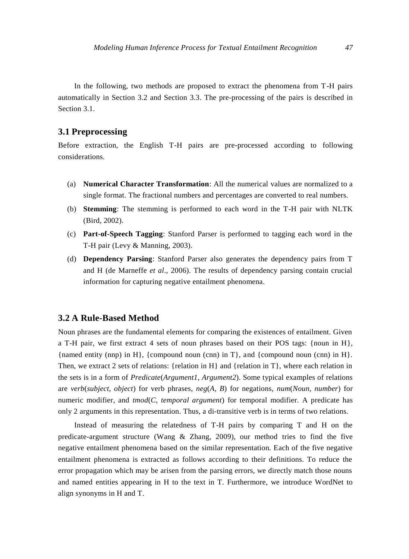In the following, two methods are proposed to extract the phenomena from T-H pairs automatically in Section 3.2 and Section 3.3. The pre-processing of the pairs is described in Section 3.1.

# **3.1 Preprocessing**

Before extraction, the English T-H pairs are pre-processed according to following considerations.

- (a) **Numerical Character Transformation**: All the numerical values are normalized to a single format. The fractional numbers and percentages are converted to real numbers.
- (b) **Stemming**: The stemming is performed to each word in the T-H pair with NLTK (Bird, 2002).
- (c) **Part-of-Speech Tagging**: Stanford Parser is performed to tagging each word in the T-H pair (Levy & Manning, 2003).
- (d) **Dependency Parsing**: Stanford Parser also generates the dependency pairs from T and H (de Marneffe *et al*., 2006). The results of dependency parsing contain crucial information for capturing negative entailment phenomena.

## **3.2 A Rule-Based Method**

Noun phrases are the fundamental elements for comparing the existences of entailment. Given a T-H pair, we first extract 4 sets of noun phrases based on their POS tags: {noun in H}, {named entity (nnp) in H}, {compound noun (cnn) in T}, and {compound noun (cnn) in H}. Then, we extract 2 sets of relations: {relation in  $H$ } and {relation in T}, where each relation in the sets is in a form of *Predicate*(*Argument1*, *Argument2*). Some typical examples of relations are *verb*(*subject*, *object*) for verb phrases, *neg*(*A*, *B*) for negations, *num*(*Noun*, *number*) for numeric modifier, and *tmod*(*C*, *temporal argument*) for temporal modifier. A predicate has only 2 arguments in this representation. Thus, a di-transitive verb is in terms of two relations.

Instead of measuring the relatedness of T-H pairs by comparing T and H on the predicate-argument structure (Wang & Zhang, 2009), our method tries to find the five negative entailment phenomena based on the similar representation. Each of the five negative entailment phenomena is extracted as follows according to their definitions. To reduce the error propagation which may be arisen from the parsing errors, we directly match those nouns and named entities appearing in H to the text in T. Furthermore, we introduce WordNet to align synonyms in H and T.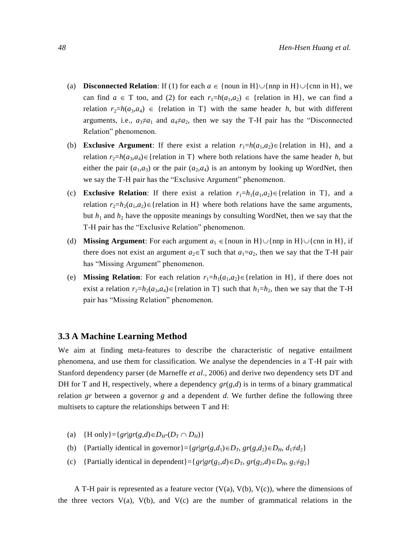- (a) **Disconnected Relation**: If (1) for each  $a \in \{\text{noun in H}\} \cup \{\text{nnp in H}\}$ , we can find  $a \in T$  too, and (2) for each  $r_1=h(a_1,a_2) \in \{relation{relation} \in H\}$ , we can find a relation  $r_2=h(a_3,a_4) \in \{$  relation in T $\}$  with the same header *h*, but with different arguments, i.e.,  $a_3 \neq a_1$  and  $a_4 \neq a_2$ , then we say the T-H pair has the "Disconnected" Relation" phenomenon.
- (b) **Exclusive Argument**: If there exist a relation  $r_1=h(a_1,a_2) \in \{relation{irl}, and a$ relation  $r_2=h(a_3,a_4) \in \{$  relation in T $\}$  where both relations have the same header *h*, but either the pair  $(a_1,a_3)$  or the pair  $(a_2,a_4)$  is an antonym by looking up WordNet, then we say the T-H pair has the "Exclusive Argument" phenomenon.
- (c) **Exclusive Relation**: If there exist a relation  $r_1=h_1(a_1,a_2)\in\{$  relation in T $\}$ , and a relation  $r_2=h_2(a_1,a_2) \in \{$  relation in H} where both relations have the same arguments, but  $h_1$  and  $h_2$  have the opposite meanings by consulting WordNet, then we say that the T-H pair has the "Exclusive Relation" phenomenon.
- (d) **Missing Argument**: For each argument  $a_1 \in \{$  noun in H $\} \cup \{$  nnp in H $\} \cup \{$  cnn in H $\}$ , if there does not exist an argument  $a_2 \in T$  such that  $a_1 = a_2$ , then we say that the T-H pair has "Missing Argument" phenomenon.
- (e) **Missing Relation**: For each relation  $r_1=h_1(a_1,a_2) \in \{$  relation in H $\}$ , if there does not exist a relation  $r_2=h_2(a_3,a_4)$  = {relation in T} such that  $h_1=h_2$ , then we say that the T-H pair has "Missing Relation" phenomenon.

### **3.3 A Machine Learning Method**

We aim at finding meta-features to describe the characteristic of negative entailment phenomena, and use them for classification. We analyse the dependencies in a T-H pair with Stanford dependency parser (de Marneffe *et al*., 2006) and derive two dependency sets DT and DH for T and H, respectively, where a dependency  $gr(g,d)$  is in terms of a binary grammatical relation *gr* between a governor *g* and a dependent *d*. We further define the following three multisets to capture the relationships between T and H:

- (a) {H only } = { $gr|gr(g,d) \in D_H$ - $(D_T \cap D_H)$  }
- (b) {Partially identical in governor}={ $gr|gr(g,d_1) \in D_T$ ,  $gr(g,d_2) \in D_H$ ,  $d_1 \neq d_2$ }
- (c) {Partially identical in dependent}={ $gr|gr(g_1,d) \in D_T$ ,  $gr(g_2,d) \in D_H$ ,  $g_1 \neq g_2$ }

A T-H pair is represented as a feature vector  $(V(a), V(b), V(c))$ , where the dimensions of the three vectors  $V(a)$ ,  $V(b)$ , and  $V(c)$  are the number of grammatical relations in the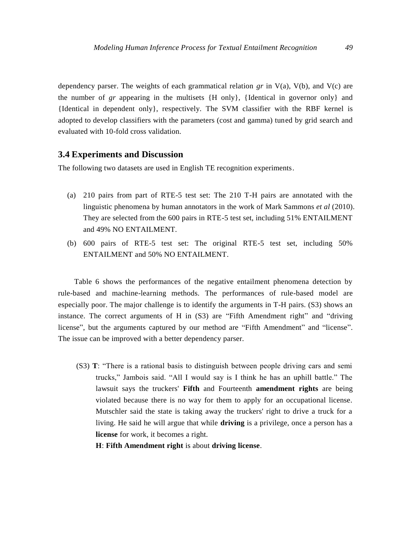dependency parser. The weights of each grammatical relation *gr* in V(a), V(b), and V(c) are the number of *gr* appearing in the multisets  $\{H \text{ only } \}$ ,  $\{ \text{Identical in governor only } \}$  and {Identical in dependent only}, respectively. The SVM classifier with the RBF kernel is adopted to develop classifiers with the parameters (cost and gamma) tuned by grid search and evaluated with 10-fold cross validation.

#### **3.4 Experiments and Discussion**

The following two datasets are used in English TE recognition experiments.

- (a) 210 pairs from part of RTE-5 test set: The 210 T-H pairs are annotated with the linguistic phenomena by human annotators in the work of Mark Sammons *et al* (2010). They are selected from the 600 pairs in RTE-5 test set, including 51% ENTAILMENT and 49% NO ENTAILMENT.
- (b) 600 pairs of RTE-5 test set: The original RTE-5 test set, including 50% ENTAILMENT and 50% NO ENTAILMENT.

Table 6 shows the performances of the negative entailment phenomena detection by rule-based and machine-learning methods. The performances of rule-based model are especially poor. The major challenge is to identify the arguments in T-H pairs. (S3) shows an instance. The correct arguments of H in (S3) are "Fifth Amendment right" and "driving license", but the arguments captured by our method are "Fifth Amendment" and "license". The issue can be improved with a better dependency parser.

- (S3) **T**: "There is a rational basis to distinguish between people driving cars and semi trucks," Jambois said. "All I would say is I think he has an uphill battle." The lawsuit says the truckers' **Fifth** and Fourteenth **amendment rights** are being violated because there is no way for them to apply for an occupational license. Mutschler said the state is taking away the truckers' right to drive a truck for a living. He said he will argue that while **driving** is a privilege, once a person has a **license** for work, it becomes a right.
	- **H**: **Fifth Amendment right** is about **driving license**.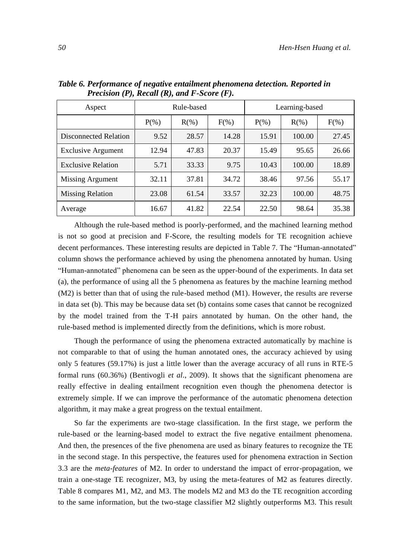| Aspect                    | Rule-based |         |         | Learning-based |          |         |  |
|---------------------------|------------|---------|---------|----------------|----------|---------|--|
|                           | $P(\% )$   | $R(\%)$ | $F(\%)$ | $P(\% )$       | $R(\% )$ | $F(\%)$ |  |
| Disconnected Relation     | 9.52       | 28.57   | 14.28   | 15.91          | 100.00   | 27.45   |  |
| <b>Exclusive Argument</b> | 12.94      | 47.83   | 20.37   | 15.49          | 95.65    | 26.66   |  |
| <b>Exclusive Relation</b> | 5.71       | 33.33   | 9.75    | 10.43          | 100.00   | 18.89   |  |
| Missing Argument          | 32.11      | 37.81   | 34.72   | 38.46          | 97.56    | 55.17   |  |
| <b>Missing Relation</b>   | 23.08      | 61.54   | 33.57   | 32.23          | 100.00   | 48.75   |  |
| Average                   | 16.67      | 41.82   | 22.54   | 22.50          | 98.64    | 35.38   |  |

*Table 6. Performance of negative entailment phenomena detection. Reported in Precision (P), Recall (R), and F-Score (F).*

Although the rule-based method is poorly-performed, and the machined learning method is not so good at precision and F-Score, the resulting models for TE recognition achieve decent performances. These interesting results are depicted in Table 7. The "Human-annotated" column shows the performance achieved by using the phenomena annotated by human. Using "Human-annotated" phenomena can be seen as the upper-bound of the experiments. In data set (a), the performance of using all the 5 phenomena as features by the machine learning method (M2) is better than that of using the rule-based method (M1). However, the results are reverse in data set (b). This may be because data set (b) contains some cases that cannot be recognized by the model trained from the T-H pairs annotated by human. On the other hand, the rule-based method is implemented directly from the definitions, which is more robust.

Though the performance of using the phenomena extracted automatically by machine is not comparable to that of using the human annotated ones, the accuracy achieved by using only 5 features (59.17%) is just a little lower than the average accuracy of all runs in RTE-5 formal runs (60.36%) (Bentivogli *et al*., 2009). It shows that the significant phenomena are really effective in dealing entailment recognition even though the phenomena detector is extremely simple. If we can improve the performance of the automatic phenomena detection algorithm, it may make a great progress on the textual entailment.

So far the experiments are two-stage classification. In the first stage, we perform the rule-based or the learning-based model to extract the five negative entailment phenomena. And then, the presences of the five phenomena are used as binary features to recognize the TE in the second stage. In this perspective, the features used for phenomena extraction in Section 3.3 are the *meta-features* of M2. In order to understand the impact of error-propagation, we train a one-stage TE recognizer, M3, by using the meta-features of M2 as features directly. Table 8 compares M1, M2, and M3. The models M2 and M3 do the TE recognition according to the same information, but the two-stage classifier M2 slightly outperforms M3. This result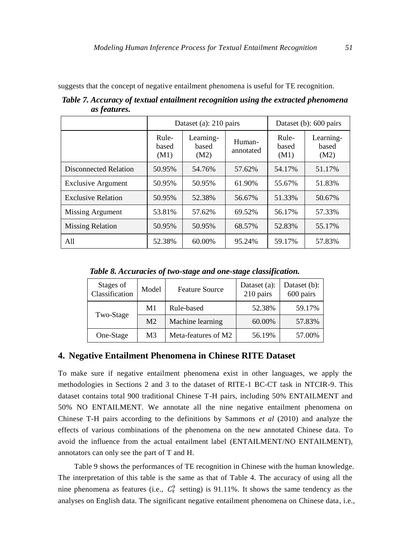suggests that the concept of negative entailment phenomena is useful for TE recognition.

|                              |                        | Dataset (a): $210 \text{ pairs}$ | Dataset (b): 600 pairs |                        |                            |
|------------------------------|------------------------|----------------------------------|------------------------|------------------------|----------------------------|
|                              | Rule-<br>based<br>(M1) | Learning-<br>based<br>(M2)       | Human-<br>annotated    | Rule-<br>based<br>(M1) | Learning-<br>based<br>(M2) |
| <b>Disconnected Relation</b> | 50.95%                 | 54.76%                           | 57.62%                 | 54.17%                 | 51.17%                     |
| <b>Exclusive Argument</b>    | 50.95%                 | 50.95%                           | 61.90%                 | 55.67%                 | 51.83%                     |
| <b>Exclusive Relation</b>    | 50.95%                 | 52.38%                           | 56.67%                 | 51.33%                 | 50.67%                     |
| Missing Argument             | 53.81%                 | 57.62%                           | 69.52%                 | 56.17%                 | 57.33%                     |
| <b>Missing Relation</b>      | 50.95%                 | 50.95%                           | 68.57%                 | 52.83%                 | 55.17%                     |
| A11                          | 52.38%                 | 60.00%                           | 95.24%                 | 59.17%                 | 57.83%                     |

*Table 7. Accuracy of textual entailment recognition using the extracted phenomena as features.*

*Table 8. Accuracies of two-stage and one-stage classification.*

| Stages of<br>Classification | Model          | <b>Feature Source</b> | Dataset (a):<br>210 pairs | Dataset (b):<br>600 pairs |
|-----------------------------|----------------|-----------------------|---------------------------|---------------------------|
| Two-Stage                   | M1             | Rule-based            | 52.38%                    | 59.17%                    |
|                             | M <sub>2</sub> | Machine learning      | 60.00%                    | 57.83%                    |
| One-Stage                   | M3             | Meta-features of M2   | 56.19%                    | 57.00%                    |

## **4. Negative Entailment Phenomena in Chinese RITE Dataset**

To make sure if negative entailment phenomena exist in other languages, we apply the methodologies in Sections 2 and 3 to the dataset of RITE-1 BC-CT task in NTCIR-9. This dataset contains total 900 traditional Chinese T-H pairs, including 50% ENTAILMENT and 50% NO ENTAILMENT. We annotate all the nine negative entailment phenomena on Chinese T-H pairs according to the definitions by Sammons *et al* (2010) and analyze the effects of various combinations of the phenomena on the new annotated Chinese data. To avoid the influence from the actual entailment label (ENTAILMENT/NO ENTAILMENT), annotators can only see the part of T and H.

Table 9 shows the performances of TE recognition in Chinese with the human knowledge. The interpretation of this table is the same as that of Table 4. The accuracy of using all the nine phenomena as features (i.e.,  $C_9^9$  setting) is 91.11%. It shows the same tendency as the analyses on English data. The significant negative entailment phenomena on Chinese data, i.e.,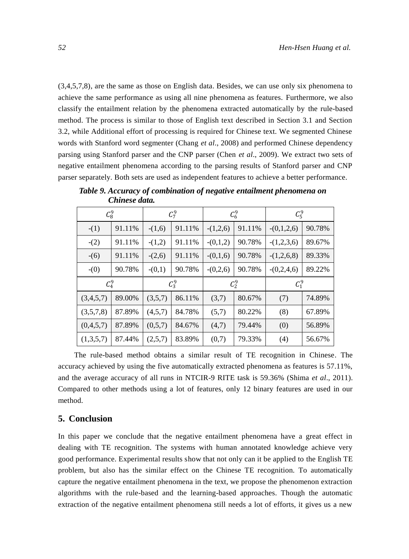(3,4,5,7,8), are the same as those on English data. Besides, we can use only six phenomena to achieve the same performance as using all nine phenomena as features. Furthermore, we also classify the entailment relation by the phenomena extracted automatically by the rule-based method. The process is similar to those of English text described in Section 3.1 and Section 3.2, while Additional effort of processing is required for Chinese text. We segmented Chinese words with Stanford word segmenter (Chang *et al*., 2008) and performed Chinese dependency parsing using Stanford parser and the CNP parser (Chen *et al*., 2009). We extract two sets of negative entailment phenomena according to the parsing results of Stanford parser and CNP parser separately. Both sets are used as independent features to achieve a better performance.

|           | $\mathcal{C}_8^9$ |          | $C_7^9$ |            | $\mathcal{C}_6^9$ | $C_5^9$      |        |
|-----------|-------------------|----------|---------|------------|-------------------|--------------|--------|
| $-(1)$    | 91.11%            | $-(1,6)$ | 91.11%  | $-(1,2,6)$ | 91.11%            | $-(0,1,2,6)$ | 90.78% |
| $-(2)$    | 91.11%            | $-(1,2)$ | 91.11%  | $-(0,1,2)$ | 90.78%            | $-(1,2,3,6)$ | 89.67% |
| $-(6)$    | 91.11%            | $-(2,6)$ | 91.11%  | $-(0,1,6)$ | 90.78%            | $-(1,2,6,8)$ | 89.33% |
| $-(0)$    | 90.78%            | $-(0,1)$ | 90.78%  | $-(0,2,6)$ | 90.78%            | $-(0,2,4,6)$ | 89.22% |
| $C_4^9$   |                   | $C_3^9$  |         | $C_2^9$    |                   | $C_1^9$      |        |
| (3,4,5,7) | 89.00%            | (3,5,7)  | 86.11%  | (3,7)      | 80.67%            | (7)          | 74.89% |
| (3,5,7,8) | 87.89%            | (4,5,7)  | 84.78%  | (5,7)      | 80.22%            | (8)          | 67.89% |
| (0,4,5,7) | 87.89%            | (0,5,7)  | 84.67%  | (4,7)      | 79.44%            | (0)          | 56.89% |
| (1,3,5,7) | 87.44%            | (2,5,7)  | 83.89%  | (0,7)      | 79.33%            | (4)          | 56.67% |

*Table 9. Accuracy of combination of negative entailment phenomena on Chinese data.*

The rule-based method obtains a similar result of TE recognition in Chinese. The accuracy achieved by using the five automatically extracted phenomena as features is 57.11%, and the average accuracy of all runs in NTCIR-9 RITE task is 59.36% (Shima *et al*., 2011). Compared to other methods using a lot of features, only 12 binary features are used in our method.

## **5. Conclusion**

In this paper we conclude that the negative entailment phenomena have a great effect in dealing with TE recognition. The systems with human annotated knowledge achieve very good performance. Experimental results show that not only can it be applied to the English TE problem, but also has the similar effect on the Chinese TE recognition. To automatically capture the negative entailment phenomena in the text, we propose the phenomenon extraction algorithms with the rule-based and the learning-based approaches. Though the automatic extraction of the negative entailment phenomena still needs a lot of efforts, it gives us a new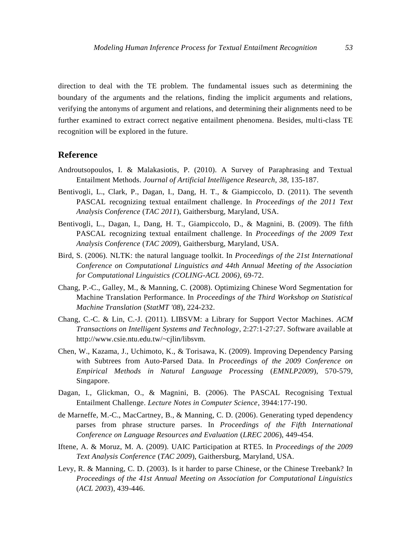direction to deal with the TE problem. The fundamental issues such as determining the boundary of the arguments and the relations, finding the implicit arguments and relations, verifying the antonyms of argument and relations, and determining their alignments need to be further examined to extract correct negative entailment phenomena. Besides, multi-class TE recognition will be explored in the future.

#### **Reference**

- Androutsopoulos, I. & Malakasiotis, P. (2010). A Survey of Paraphrasing and Textual Entailment Methods. *Journal of Artificial Intelligence Research, 38*, 135-187.
- Bentivogli, L., Clark, P., Dagan, I., Dang, H. T., & Giampiccolo, D. (2011). The seventh PASCAL recognizing textual entailment challenge. In *Proceedings of the 2011 Text Analysis Conference* (*TAC 2011*), Gaithersburg, Maryland, USA.
- Bentivogli, L., Dagan, I., Dang, H. T., Giampiccolo, D., & Magnini, B. (2009). The fifth PASCAL recognizing textual entailment challenge. In *Proceedings of the 2009 Text Analysis Conference* (*TAC 2009*), Gaithersburg, Maryland, USA.
- Bird, S. (2006). NLTK: the natural language toolkit. In *Proceedings of the 21st International Conference on Computational Linguistics and 44th Annual Meeting of the Association for Computational Linguistics (COLING-ACL 2006)*, 69-72.
- Chang, P.-C., Galley, M., & Manning, C. (2008). Optimizing Chinese Word Segmentation for Machine Translation Performance. In *Proceedings of the Third Workshop on Statistical Machine Translation* (*StatMT '08*), 224-232.
- Chang, C.-C. & Lin, C.-J. (2011). LIBSVM: a Library for Support Vector Machines. *ACM Transactions on Intelligent Systems and Technology*, 2:27:1-27:27. Software available at http://www.csie.ntu.edu.tw/~cjlin/libsvm.
- Chen, W., Kazama, J., Uchimoto, K., & Torisawa, K. (2009). Improving Dependency Parsing with Subtrees from Auto-Parsed Data. In *Proceedings of the 2009 Conference on Empirical Methods in Natural Language Processing* (*EMNLP2009*), 570-579, Singapore.
- Dagan, I., Glickman, O., & Magnini, B. (2006). The PASCAL Recognising Textual Entailment Challenge. *Lecture Notes in Computer Science*, 3944:177-190.
- de Marneffe, M.-C., MacCartney, B., & Manning, C. D. (2006). Generating typed dependency parses from phrase structure parses. In *Proceedings of the Fifth International Conference on Language Resources and Evaluation* (*LREC 2006*), 449-454.
- Iftene, A. & Moruz, M. A. (2009). UAIC Participation at RTE5. In *Proceedings of the 2009 Text Analysis Conference* (*TAC 2009*), Gaithersburg, Maryland, USA.
- Levy, R. & Manning, C. D. (2003). Is it harder to parse Chinese, or the Chinese Treebank? In *Proceedings of the 41st Annual Meeting on Association for Computational Linguistics* (*ACL 2003*), 439-446.